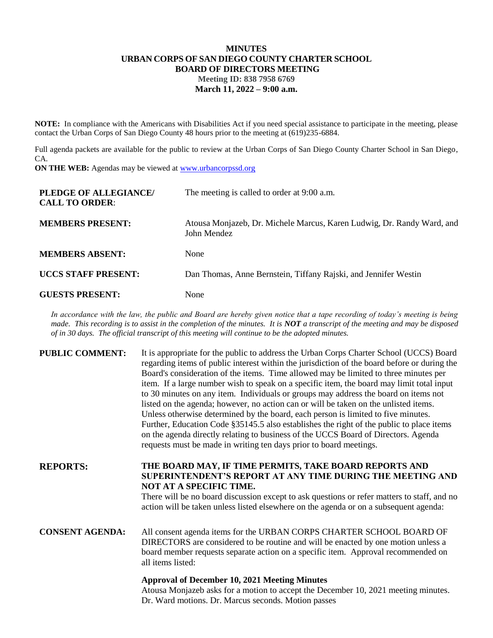## **MINUTES URBAN CORPS OF SAN DIEGO COUNTY CHARTER SCHOOL BOARD OF DIRECTORS MEETING Meeting ID: 838 7958 6769 March 11, 2022 – 9:00 a.m.**

**NOTE:** In compliance with the Americans with Disabilities Act if you need special assistance to participate in the meeting, please contact the Urban Corps of San Diego County 48 hours prior to the meeting at (619)235-6884.

Full agenda packets are available for the public to review at the Urban Corps of San Diego County Charter School in San Diego, CA.

**ON THE WEB:** Agendas may be viewed at **www.urbancorpssd.org** 

| PLEDGE OF ALLEGIANCE/<br><b>CALL TO ORDER:</b> | The meeting is called to order at 9:00 a.m.                                           |
|------------------------------------------------|---------------------------------------------------------------------------------------|
| <b>MEMBERS PRESENT:</b>                        | Atousa Monjazeb, Dr. Michele Marcus, Karen Ludwig, Dr. Randy Ward, and<br>John Mendez |
| <b>MEMBERS ABSENT:</b>                         | None                                                                                  |
| <b>UCCS STAFF PRESENT:</b>                     | Dan Thomas, Anne Bernstein, Tiffany Rajski, and Jennifer Westin                       |
| <b>GUESTS PRESENT:</b>                         | None                                                                                  |

*In accordance with the law, the public and Board are hereby given notice that a tape recording of today's meeting is being made. This recording is to assist in the completion of the minutes. It is NOT a transcript of the meeting and may be disposed of in 30 days. The official transcript of this meeting will continue to be the adopted minutes.*

| <b>PUBLIC COMMENT:</b> | It is appropriate for the public to address the Urban Corps Charter School (UCCS) Board<br>regarding items of public interest within the jurisdiction of the board before or during the<br>Board's consideration of the items. Time allowed may be limited to three minutes per<br>item. If a large number wish to speak on a specific item, the board may limit total input<br>to 30 minutes on any item. Individuals or groups may address the board on items not<br>listed on the agenda; however, no action can or will be taken on the unlisted items.<br>Unless otherwise determined by the board, each person is limited to five minutes.<br>Further, Education Code §35145.5 also establishes the right of the public to place items<br>on the agenda directly relating to business of the UCCS Board of Directors. Agenda<br>requests must be made in writing ten days prior to board meetings. |
|------------------------|----------------------------------------------------------------------------------------------------------------------------------------------------------------------------------------------------------------------------------------------------------------------------------------------------------------------------------------------------------------------------------------------------------------------------------------------------------------------------------------------------------------------------------------------------------------------------------------------------------------------------------------------------------------------------------------------------------------------------------------------------------------------------------------------------------------------------------------------------------------------------------------------------------|
| <b>REPORTS:</b>        | THE BOARD MAY, IF TIME PERMITS, TAKE BOARD REPORTS AND<br>SUPERINTENDENT'S REPORT AT ANY TIME DURING THE MEETING AND<br>NOT AT A SPECIFIC TIME.<br>There will be no board discussion except to ask questions or refer matters to staff, and no<br>action will be taken unless listed elsewhere on the agenda or on a subsequent agenda:                                                                                                                                                                                                                                                                                                                                                                                                                                                                                                                                                                  |
| <b>CONSENT AGENDA:</b> | All consent agenda items for the URBAN CORPS CHARTER SCHOOL BOARD OF<br>DIRECTORS are considered to be routine and will be enacted by one motion unless a<br>board member requests separate action on a specific item. Approval recommended on<br>all items listed:                                                                                                                                                                                                                                                                                                                                                                                                                                                                                                                                                                                                                                      |
|                        | <b>Approval of December 10, 2021 Meeting Minutes</b>                                                                                                                                                                                                                                                                                                                                                                                                                                                                                                                                                                                                                                                                                                                                                                                                                                                     |

Atousa Monjazeb asks for a motion to accept the December 10, 2021 meeting minutes. Dr. Ward motions. Dr. Marcus seconds. Motion passes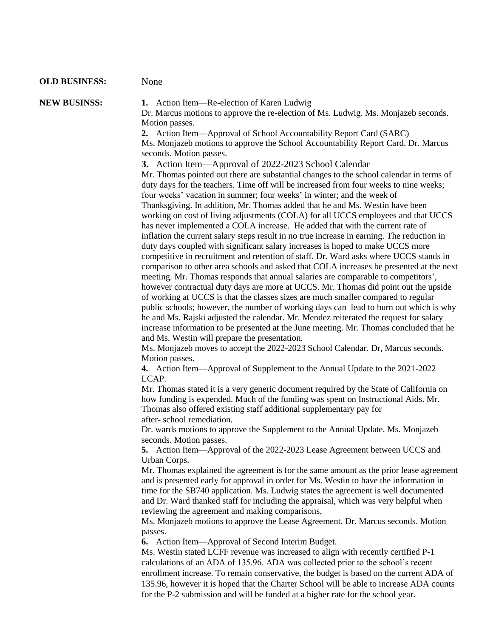## **OLD BUSINESS:** None

**NEW BUSINSS: 1.** Action Item—Re-election of Karen Ludwig

Dr. Marcus motions to approve the re-election of Ms. Ludwig. Ms. Monjazeb seconds. Motion passes.

**2.** Action Item—Approval of School Accountability Report Card (SARC) Ms. Monjazeb motions to approve the School Accountability Report Card. Dr. Marcus seconds. Motion passes.

**3.** Action Item—Approval of 2022-2023 School Calendar

Mr. Thomas pointed out there are substantial changes to the school calendar in terms of duty days for the teachers. Time off will be increased from four weeks to nine weeks; four weeks' vacation in summer; four weeks' in winter; and the week of Thanksgiving. In addition, Mr. Thomas added that he and Ms. Westin have been working on cost of living adjustments (COLA) for all UCCS employees and that UCCS has never implemented a COLA increase. He added that with the current rate of inflation the current salary steps result in no true increase in earning. The reduction in duty days coupled with significant salary increases is hoped to make UCCS more competitive in recruitment and retention of staff. Dr. Ward asks where UCCS stands in comparison to other area schools and asked that COLA increases be presented at the next meeting. Mr. Thomas responds that annual salaries are comparable to competitors', however contractual duty days are more at UCCS. Mr. Thomas did point out the upside of working at UCCS is that the classes sizes are much smaller compared to regular public schools; however, the number of working days can lead to burn out which is why he and Ms. Rajski adjusted the calendar. Mr. Mendez reiterated the request for salary increase information to be presented at the June meeting. Mr. Thomas concluded that he and Ms. Westin will prepare the presentation.

Ms. Monjazeb moves to accept the 2022-2023 School Calendar. Dr, Marcus seconds. Motion passes.

**4.** Action Item—Approval of Supplement to the Annual Update to the 2021-2022 LCAP.

Mr. Thomas stated it is a very generic document required by the State of California on how funding is expended. Much of the funding was spent on Instructional Aids. Mr. Thomas also offered existing staff additional supplementary pay for after- school remediation.

Dr. wards motions to approve the Supplement to the Annual Update. Ms. Monjazeb seconds. Motion passes.

**5.** Action Item—Approval of the 2022-2023 Lease Agreement between UCCS and Urban Corps.

Mr. Thomas explained the agreement is for the same amount as the prior lease agreement and is presented early for approval in order for Ms. Westin to have the information in time for the SB740 application. Ms. Ludwig states the agreement is well documented and Dr. Ward thanked staff for including the appraisal, which was very helpful when reviewing the agreement and making comparisons,

Ms. Monjazeb motions to approve the Lease Agreement. Dr. Marcus seconds. Motion passes.

**6.** Action Item—Approval of Second Interim Budget.

Ms. Westin stated LCFF revenue was increased to align with recently certified P-1 calculations of an ADA of 135.96. ADA was collected prior to the school's recent enrollment increase. To remain conservative, the budget is based on the current ADA of 135.96, however it is hoped that the Charter School will be able to increase ADA counts for the P-2 submission and will be funded at a higher rate for the school year.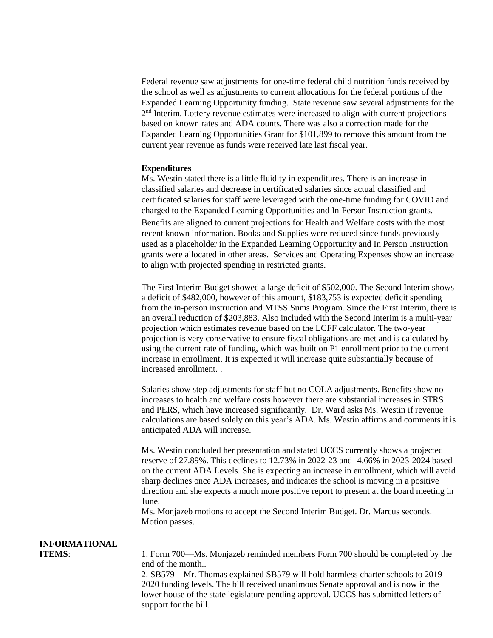Federal revenue saw adjustments for one-time federal child nutrition funds received by the school as well as adjustments to current allocations for the federal portions of the Expanded Learning Opportunity funding. State revenue saw several adjustments for the 2<sup>nd</sup> Interim. Lottery revenue estimates were increased to align with current projections based on known rates and ADA counts. There was also a correction made for the Expanded Learning Opportunities Grant for \$101,899 to remove this amount from the current year revenue as funds were received late last fiscal year.

## **Expenditures**

Ms. Westin stated there is a little fluidity in expenditures. There is an increase in classified salaries and decrease in certificated salaries since actual classified and certificated salaries for staff were leveraged with the one-time funding for COVID and charged to the Expanded Learning Opportunities and In-Person Instruction grants. Benefits are aligned to current projections for Health and Welfare costs with the most recent known information. Books and Supplies were reduced since funds previously used as a placeholder in the Expanded Learning Opportunity and In Person Instruction grants were allocated in other areas. Services and Operating Expenses show an increase to align with projected spending in restricted grants.

The First Interim Budget showed a large deficit of \$502,000. The Second Interim shows a deficit of \$482,000, however of this amount, \$183,753 is expected deficit spending from the in-person instruction and MTSS Sums Program. Since the First Interim, there is an overall reduction of \$203,883. Also included with the Second Interim is a multi-year projection which estimates revenue based on the LCFF calculator. The two-year projection is very conservative to ensure fiscal obligations are met and is calculated by using the current rate of funding, which was built on P1 enrollment prior to the current increase in enrollment. It is expected it will increase quite substantially because of increased enrollment. .

Salaries show step adjustments for staff but no COLA adjustments. Benefits show no increases to health and welfare costs however there are substantial increases in STRS and PERS, which have increased significantly. Dr. Ward asks Ms. Westin if revenue calculations are based solely on this year's ADA. Ms. Westin affirms and comments it is anticipated ADA will increase.

Ms. Westin concluded her presentation and stated UCCS currently shows a projected reserve of 27.89%. This declines to 12.73% in 2022-23 and -4.66% in 2023-2024 based on the current ADA Levels. She is expecting an increase in enrollment, which will avoid sharp declines once ADA increases, and indicates the school is moving in a positive direction and she expects a much more positive report to present at the board meeting in June.

Ms. Monjazeb motions to accept the Second Interim Budget. Dr. Marcus seconds. Motion passes.

## **INFORMATIONAL**

**ITEMS:** 1. Form 700—Ms. Monjazeb reminded members Form 700 should be completed by the end of the month..

> 2. SB579—Mr. Thomas explained SB579 will hold harmless charter schools to 2019- 2020 funding levels. The bill received unanimous Senate approval and is now in the lower house of the state legislature pending approval. UCCS has submitted letters of support for the bill.